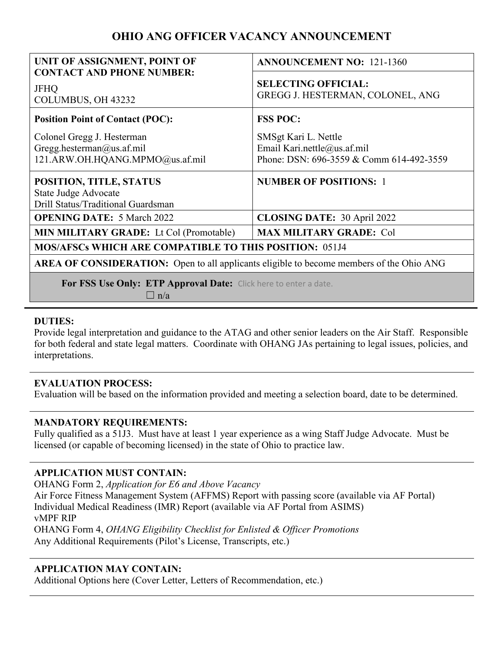# **OHIO ANG OFFICER VACANCY ANNOUNCEMENT**

| UNIT OF ASSIGNMENT, POINT OF<br><b>CONTACT AND PHONE NUMBER:</b>                                | <b>ANNOUNCEMENT NO: 121-1360</b>                                                                |
|-------------------------------------------------------------------------------------------------|-------------------------------------------------------------------------------------------------|
| <b>JFHQ</b><br>COLUMBUS, OH 43232                                                               | <b>SELECTING OFFICIAL:</b><br>GREGG J. HESTERMAN, COLONEL, ANG                                  |
| <b>Position Point of Contact (POC):</b>                                                         | <b>FSS POC:</b>                                                                                 |
| Colonel Gregg J. Hesterman<br>Gregg.hesterman@us.af.mil<br>121.ARW.OH.HQANG.MPMO@us.af.mil      | SMSgt Kari L. Nettle<br>Email Kari.nettle@us.af.mil<br>Phone: DSN: 696-3559 & Comm 614-492-3559 |
| POSITION, TITLE, STATUS<br>State Judge Advocate<br>Drill Status/Traditional Guardsman           | <b>NUMBER OF POSITIONS: 1</b>                                                                   |
| <b>OPENING DATE: 5 March 2022</b>                                                               | <b>CLOSING DATE: 30 April 2022</b>                                                              |
| <b>MIN MILITARY GRADE:</b> Lt Col (Promotable)                                                  | <b>MAX MILITARY GRADE: Col</b>                                                                  |
| <b>MOS/AFSCs WHICH ARE COMPATIBLE TO THIS POSITION: 051J4</b>                                   |                                                                                                 |
| <b>AREA OF CONSIDERATION:</b> Open to all applicants eligible to become members of the Ohio ANG |                                                                                                 |
| For FSS Use Only: ETP Approval Date: Click here to enter a date.                                |                                                                                                 |

 $\Box$  n/a

### **DUTIES:**

Provide legal interpretation and guidance to the ATAG and other senior leaders on the Air Staff. Responsible for both federal and state legal matters. Coordinate with OHANG JAs pertaining to legal issues, policies, and interpretations.

### **EVALUATION PROCESS:**

Evaluation will be based on the information provided and meeting a selection board, date to be determined.

### **MANDATORY REQUIREMENTS:**

Fully qualified as a 51J3. Must have at least 1 year experience as a wing Staff Judge Advocate. Must be licensed (or capable of becoming licensed) in the state of Ohio to practice law.

## **APPLICATION MUST CONTAIN:**

OHANG Form 2, *Application for E6 and Above Vacancy* Air Force Fitness Management System (AFFMS) Report with passing score (available via AF Portal) Individual Medical Readiness (IMR) Report (available via AF Portal from ASIMS) vMPF RIP OHANG Form 4, *OHANG Eligibility Checklist for Enlisted & Officer Promotions* Any Additional Requirements (Pilot's License, Transcripts, etc.)

## **APPLICATION MAY CONTAIN:**

Additional Options here (Cover Letter, Letters of Recommendation, etc.)